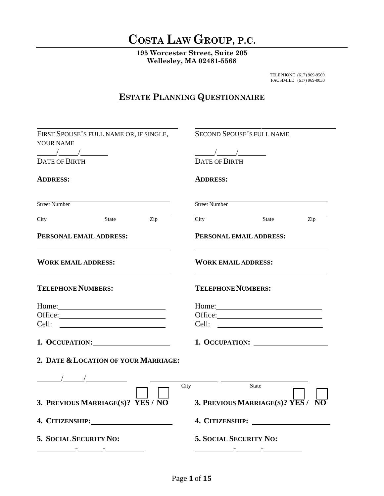### **COSTA LAW GROUP, P.C.**

**195 Worcester Street, Suite 205 Wellesley, MA 02481-5568**

> TELEPHONE (617) 969-9500 FACSIMILE (617) 969-0030

### **ESTATE PLANNING QUESTIONNAIRE**

| FIRST SPOUSE'S FULL NAME OR, IF SINGLE,<br>YOUR NAME                                                                                                                                                                                                                                                                                                                                                                            | <b>SECOND SPOUSE'S FULL NAME</b>                                                                                                                                                                                                                                                                                                                                                                                                |
|---------------------------------------------------------------------------------------------------------------------------------------------------------------------------------------------------------------------------------------------------------------------------------------------------------------------------------------------------------------------------------------------------------------------------------|---------------------------------------------------------------------------------------------------------------------------------------------------------------------------------------------------------------------------------------------------------------------------------------------------------------------------------------------------------------------------------------------------------------------------------|
| $\frac{1}{\sqrt{1-\frac{1}{2}}}\frac{1}{\sqrt{1-\frac{1}{2}}}\frac{1}{\sqrt{1-\frac{1}{2}}}\frac{1}{\sqrt{1-\frac{1}{2}}}\frac{1}{\sqrt{1-\frac{1}{2}}}\frac{1}{\sqrt{1-\frac{1}{2}}}\frac{1}{\sqrt{1-\frac{1}{2}}}\frac{1}{\sqrt{1-\frac{1}{2}}}\frac{1}{\sqrt{1-\frac{1}{2}}}\frac{1}{\sqrt{1-\frac{1}{2}}}\frac{1}{\sqrt{1-\frac{1}{2}}}\frac{1}{\sqrt{1-\frac{1}{2}}}\frac{1}{\sqrt{1-\frac{1}{2}}}\frac{1}{\sqrt{1-\frac{$ | $\frac{1}{\sqrt{1-\frac{1}{2}}}\frac{1}{\sqrt{1-\frac{1}{2}}}\frac{1}{\sqrt{1-\frac{1}{2}}}\frac{1}{\sqrt{1-\frac{1}{2}}}\frac{1}{\sqrt{1-\frac{1}{2}}}\frac{1}{\sqrt{1-\frac{1}{2}}}\frac{1}{\sqrt{1-\frac{1}{2}}}\frac{1}{\sqrt{1-\frac{1}{2}}}\frac{1}{\sqrt{1-\frac{1}{2}}}\frac{1}{\sqrt{1-\frac{1}{2}}}\frac{1}{\sqrt{1-\frac{1}{2}}}\frac{1}{\sqrt{1-\frac{1}{2}}}\frac{1}{\sqrt{1-\frac{1}{2}}}\frac{1}{\sqrt{1-\frac{$ |
| <b>DATE OF BIRTH</b>                                                                                                                                                                                                                                                                                                                                                                                                            | <b>DATE OF BIRTH</b>                                                                                                                                                                                                                                                                                                                                                                                                            |
| <b>ADDRESS:</b>                                                                                                                                                                                                                                                                                                                                                                                                                 | <b>ADDRESS:</b>                                                                                                                                                                                                                                                                                                                                                                                                                 |
| Street Number                                                                                                                                                                                                                                                                                                                                                                                                                   | Street Number                                                                                                                                                                                                                                                                                                                                                                                                                   |
| <b>City</b><br>State Zip                                                                                                                                                                                                                                                                                                                                                                                                        | $\overline{\text{City}}$<br>State<br>$\overline{Zip}$                                                                                                                                                                                                                                                                                                                                                                           |
| PERSONAL EMAIL ADDRESS:                                                                                                                                                                                                                                                                                                                                                                                                         | PERSONAL EMAIL ADDRESS:                                                                                                                                                                                                                                                                                                                                                                                                         |
| <b>WORK EMAIL ADDRESS:</b>                                                                                                                                                                                                                                                                                                                                                                                                      | <b>WORK EMAIL ADDRESS:</b>                                                                                                                                                                                                                                                                                                                                                                                                      |
| <b>TELEPHONE NUMBERS:</b>                                                                                                                                                                                                                                                                                                                                                                                                       | <b>TELEPHONE NUMBERS:</b>                                                                                                                                                                                                                                                                                                                                                                                                       |
|                                                                                                                                                                                                                                                                                                                                                                                                                                 | Home: $\qquad \qquad$ $\qquad \qquad$ $\qquad$ $\qquad$ $\qquad \qquad$ $\qquad$ $\qquad$ $\qquad$ $\qquad$ $\qquad$ $\qquad$ $\qquad$ $\qquad$ $\qquad$ $\qquad$ $\qquad$ $\qquad$ $\qquad$ $\qquad$ $\qquad$ $\qquad$ $\qquad$ $\qquad$ $\qquad$ $\qquad$ $\qquad$ $\qquad$ $\qquad$ $\qquad$ $\qquad$ $\qquad$ $\qquad$ $\qquad$ $\qquad$ $\$                                                                                |
| Office:                                                                                                                                                                                                                                                                                                                                                                                                                         |                                                                                                                                                                                                                                                                                                                                                                                                                                 |
|                                                                                                                                                                                                                                                                                                                                                                                                                                 |                                                                                                                                                                                                                                                                                                                                                                                                                                 |
| 1. OCCUPATION:                                                                                                                                                                                                                                                                                                                                                                                                                  | 1. OCCUPATION:                                                                                                                                                                                                                                                                                                                                                                                                                  |
| 2. DATE & LOCATION OF YOUR MARRIAGE:                                                                                                                                                                                                                                                                                                                                                                                            |                                                                                                                                                                                                                                                                                                                                                                                                                                 |
|                                                                                                                                                                                                                                                                                                                                                                                                                                 |                                                                                                                                                                                                                                                                                                                                                                                                                                 |
|                                                                                                                                                                                                                                                                                                                                                                                                                                 | City<br>State                                                                                                                                                                                                                                                                                                                                                                                                                   |
| 3. PREVIOUS MARRIAGE(S)? YES / NO                                                                                                                                                                                                                                                                                                                                                                                               | 3. PREVIOUS MARRIAGE(S)? YES / $\overline{\text{NO}}$                                                                                                                                                                                                                                                                                                                                                                           |
|                                                                                                                                                                                                                                                                                                                                                                                                                                 |                                                                                                                                                                                                                                                                                                                                                                                                                                 |
| 5. SOCIAL SECURITY NO:                                                                                                                                                                                                                                                                                                                                                                                                          | <b>5. SOCIAL SECURITY NO:</b>                                                                                                                                                                                                                                                                                                                                                                                                   |
|                                                                                                                                                                                                                                                                                                                                                                                                                                 | <u> 1990 - John Stone, mars and de la provincia de la provincia de la provincia de la provincia de la provincia d</u>                                                                                                                                                                                                                                                                                                           |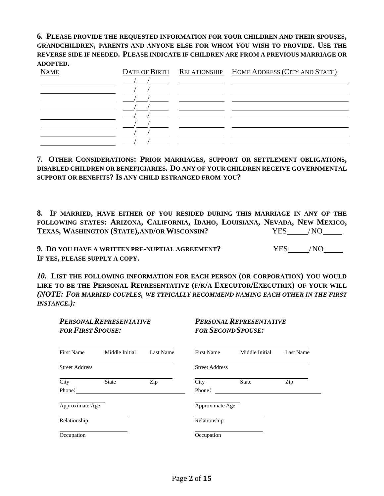#### **6. PLEASE PROVIDE THE REQUESTED INFORMATION FOR YOUR CHILDREN AND THEIR SPOUSES, GRANDCHILDREN, PARENTS AND ANYONE ELSE FOR WHOM YOU WISH TO PROVIDE. USE THE REVERSE SIDE IF NEEDED. PLEASE INDICATE IF CHILDREN ARE FROM A PREVIOUS MARRIAGE OR ADOPTED.**

| <b>NAME</b> |  | DATE OF BIRTH RELATIONSHIP HOME ADDRESS (CITY AND STATE) |
|-------------|--|----------------------------------------------------------|
|             |  |                                                          |
|             |  |                                                          |
|             |  |                                                          |
|             |  |                                                          |
|             |  |                                                          |
|             |  |                                                          |
|             |  |                                                          |
|             |  |                                                          |

**7. OTHER CONSIDERATIONS: PRIOR MARRIAGES, SUPPORT OR SETTLEMENT OBLIGATIONS, DISABLED CHILDREN OR BENEFICIARIES. DO ANY OF YOUR CHILDREN RECEIVE GOVERNMENTAL SUPPORT OR BENEFITS? IS ANY CHILD ESTRANGED FROM YOU?**

**8. IF MARRIED, HAVE EITHER OF YOU RESIDED DURING THIS MARRIAGE IN ANY OF THE FOLLOWING STATES: ARIZONA, CALIFORNIA, IDAHO, LOUISIANA, NEVADA, NEW MEXICO, TEXAS, WASHINGTON (STATE),AND/ORWISCONSIN?** YES /NO

**9. DO YOU HAVE A WRITTEN PRE-NUPTIAL AGREEMENT?** YES /NO **IF YES, PLEASE SUPPLY A COPY.**

*10.* **LIST THE FOLLOWING INFORMATION FOR EACH PERSON (OR CORPORATION) YOU WOULD LIKE TO BE THE PERSONAL REPRESENTATIVE (F/K/A EXECUTOR/EXECUTRIX) OF YOUR WILL**  *(NOTE: FOR MARRIED COUPLES, WE TYPICALLY RECOMMEND NAMING EACH OTHER IN THE FIRST INSTANCE.):*

| <b>PERSONAL REPRESENTATIVE</b><br><b>FOR FIRST SPOUSE:</b> |                | PERSONAL REPRESENTATIVE<br><b>FOR SECOND SPOUSE:</b> |                       |                |           |
|------------------------------------------------------------|----------------|------------------------------------------------------|-----------------------|----------------|-----------|
| <b>First Name</b>                                          | Middle Initial | Last Name                                            | First Name            | Middle Initial | Last Name |
| <b>Street Address</b>                                      |                |                                                      | <b>Street Address</b> |                |           |
| City<br>Phone:                                             | <b>State</b>   | Zip                                                  | City<br>Phone:        | <b>State</b>   | Zip       |
| Approximate Age                                            |                |                                                      | Approximate Age       |                |           |
| Relationship                                               |                |                                                      | Relationship          |                |           |
| Occupation                                                 |                |                                                      | Occupation            |                |           |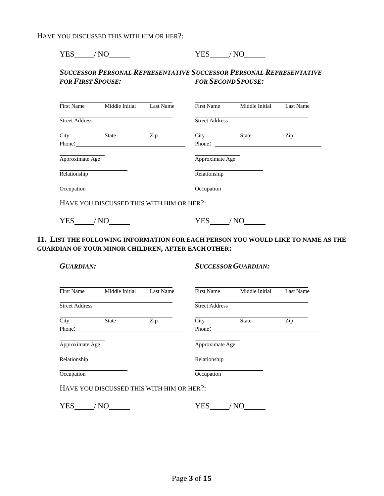| <b>YES</b> | $-1$<br>n<br>— ∴ |  |
|------------|------------------|--|
|------------|------------------|--|

#### *SUCCESSOR PERSONAL REPRESENTATIVE SUCCESSOR PERSONAL REPRESENTATIVE FOR FIRST SPOUSE: FOR SECONDSPOUSE:*

| <b>First Name</b>     | Middle Initial                            | Last Name | <b>First Name</b>     | Middle Initial | Last Name |
|-----------------------|-------------------------------------------|-----------|-----------------------|----------------|-----------|
| <b>Street Address</b> |                                           |           | <b>Street Address</b> |                |           |
| City                  | <b>State</b>                              | Zip       | City                  | <b>State</b>   | Zip       |
| Phone:                |                                           |           | Phone:                |                |           |
| Approximate Age       |                                           |           | Approximate Age       |                |           |
| Relationship          |                                           |           | Relationship          |                |           |
| Occupation            |                                           |           | Occupation            |                |           |
|                       | HAVE YOU DISCUSSED THIS WITH HIM OR HER?: |           |                       |                |           |

YES / NO YES / NO YES / NO

#### **11. LIST THE FOLLOWING INFORMATION FOR EACH PERSON YOU WOULD LIKE TO NAME AS THE GUARDIAN OF YOUR MINOR CHILDREN, AFTER EACHOTHER:**

*GUARDIAN: SUCCESSORGUARDIAN:*

| <b>First Name</b>     | Middle Initial                            | Last Name | First Name            | Middle Initial | Last Name |
|-----------------------|-------------------------------------------|-----------|-----------------------|----------------|-----------|
| <b>Street Address</b> |                                           |           | <b>Street Address</b> |                |           |
| City                  | <b>State</b>                              | Zip       | City                  | <b>State</b>   | Zip       |
| Phone:                |                                           |           | Phone:                |                |           |
| Approximate Age       |                                           |           | Approximate Age       |                |           |
| Relationship          |                                           |           | Relationship          |                |           |
| Occupation            |                                           |           | Occupation            |                |           |
|                       | HAVE YOU DISCUSSED THIS WITH HIM OR HER?: |           |                       |                |           |

| <b>YES</b> | n | 7TC<br>$\overline{a}$ | - |
|------------|---|-----------------------|---|
|            |   |                       |   |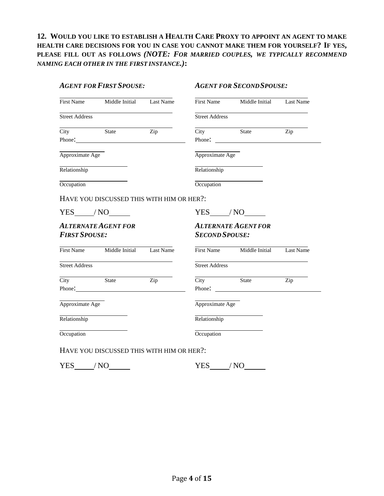**12. WOULD YOU LIKE TO ESTABLISH A HEALTH CARE PROXY TO APPOINT AN AGENT TO MAKE HEALTH CARE DECISIONS FOR YOU IN CASE YOU CANNOT MAKE THEM FOR YOURSELF? IF YES, PLEASE FILL OUT AS FOLLOWS** *(NOTE: FOR MARRIED COUPLES, WE TYPICALLY RECOMMEND NAMING EACH OTHER IN THE FIRST INSTANCE.)***:**

#### *AGENT FOR FIRST SPOUSE: AGENT FOR SECONDSPOUSE:*

|                                                        | First Name Middle Initial Last Name                                                                                                                                                                                            |     |                       | First Name Middle Initial Last Name                             |                  |
|--------------------------------------------------------|--------------------------------------------------------------------------------------------------------------------------------------------------------------------------------------------------------------------------------|-----|-----------------------|-----------------------------------------------------------------|------------------|
| <b>Street Address</b>                                  | <u> 1980 - Johann Barn, mars an t-Amerikaansk kommunister (</u>                                                                                                                                                                |     | <b>Street Address</b> | <u> 1980 - Johann Barn, mars an t-Amerikaansk kommunister (</u> |                  |
| $City$ $\overline{\phantom{a}}$                        | State                                                                                                                                                                                                                          | Zip | City State            |                                                                 | Zip              |
|                                                        | Phone: 2008 Phone: 2008 Phone: 2008 Phone: 2008 Phone: 2008 Phone: 2008 Phone: 2008 Phone: 2008 Phone: 2008 Phone: 2008 Phone: 2008 Phone: 2008 Phone: 2008 Phone: 2008 Phone: 2008 Phone: 2008 Phone: 2008 Phone: 2008 Phone: |     |                       |                                                                 |                  |
| Approximate Age                                        |                                                                                                                                                                                                                                |     | Approximate Age       |                                                                 |                  |
| Relationship                                           |                                                                                                                                                                                                                                |     | Relationship          |                                                                 |                  |
| Occupation                                             | <u> 1989 - Johann Barbara, martxa a</u>                                                                                                                                                                                        |     | Occupation            | <u> 1980 - Johann Barn, mars an t-Amerikaansk kommunister (</u> |                  |
|                                                        | HAVE YOU DISCUSSED THIS WITH HIM OR HER?:                                                                                                                                                                                      |     |                       |                                                                 |                  |
|                                                        |                                                                                                                                                                                                                                |     |                       |                                                                 |                  |
|                                                        | $YES$ $NO$ $\qquad$                                                                                                                                                                                                            |     |                       | $YES$ $/NO$ $\qquad$                                            |                  |
|                                                        | <b>ALTERNATE AGENT FOR</b>                                                                                                                                                                                                     |     |                       | <b>ALTERNATE AGENT FOR</b>                                      |                  |
| <b>FIRST SPOUSE:</b>                                   |                                                                                                                                                                                                                                |     | <b>SECOND SPOUSE:</b> |                                                                 |                  |
|                                                        | First Name Middle Initial Last Name                                                                                                                                                                                            |     |                       | First Name Middle Initial                                       |                  |
|                                                        |                                                                                                                                                                                                                                |     | <b>Street Address</b> |                                                                 |                  |
|                                                        |                                                                                                                                                                                                                                | Zip | City State            |                                                                 | Zip              |
|                                                        |                                                                                                                                                                                                                                |     |                       |                                                                 |                  |
| <b>Street Address</b><br>City State<br>Approximate Age |                                                                                                                                                                                                                                |     | Approximate Age       |                                                                 | <b>Last Name</b> |
| Relationship                                           |                                                                                                                                                                                                                                |     | Relationship          |                                                                 |                  |

 $YES$  /NO  $YES$  /NO  $YES$  /NO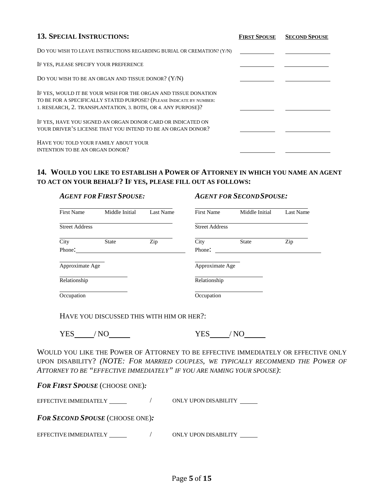| <b>13. SPECIAL INSTRUCTIONS:</b>                                                                                                                                                                         | <b>FIRST SPOUSE</b> | <b>SECOND SPOUSE</b> |
|----------------------------------------------------------------------------------------------------------------------------------------------------------------------------------------------------------|---------------------|----------------------|
| DO YOU WISH TO LEAVE INSTRUCTIONS REGARDING BURIAL OR CREMATION? (Y/N)                                                                                                                                   |                     |                      |
| IF YES, PLEASE SPECIFY YOUR PREFERENCE                                                                                                                                                                   |                     |                      |
| DO YOU WISH TO BE AN ORGAN AND TISSUE DONOR? (Y/N)                                                                                                                                                       |                     |                      |
| IF YES, WOULD IT BE YOUR WISH FOR THE ORGAN AND TISSUE DONATION<br>TO BE FOR A SPECIFICALLY STATED PURPOSE? (PLEASE INDICATE BY NUMBER:<br>1. RESEARCH, 2. TRANSPLANTATION, 3. BOTH, OR 4. ANY PURPOSE)? |                     |                      |
| IF YES, HAVE YOU SIGNED AN ORGAN DONOR CARD OR INDICATED ON<br>YOUR DRIVER'S LICENSE THAT YOU INTEND TO BE AN ORGAN DONOR?                                                                               |                     |                      |
| HAVE YOU TOLD YOUR FAMILY ABOUT YOUR<br>INTENTION TO BE AN ORGAN DONOR?                                                                                                                                  |                     |                      |

#### **14. WOULD YOU LIKE TO ESTABLISH A POWER OF ATTORNEY IN WHICH YOU NAME AN AGENT TO ACT ON YOUR BEHALF? IF YES, PLEASE FILL OUT AS FOLLOWS:**

| <b>AGENT FOR FIRST SPOUSE:</b> |                | <b>AGENT FOR SECOND SPOUSE:</b> |                       |                |           |
|--------------------------------|----------------|---------------------------------|-----------------------|----------------|-----------|
| <b>First Name</b>              | Middle Initial | Last Name                       | <b>First Name</b>     | Middle Initial | Last Name |
| <b>Street Address</b>          |                |                                 | <b>Street Address</b> |                |           |
| City                           | <b>State</b>   | Zip                             | City                  | <b>State</b>   | Zip       |
| Phone:                         |                |                                 | Phone:                |                |           |
| Approximate Age                |                |                                 | Approximate Age       |                |           |
| Relationship                   |                |                                 | Relationship          |                |           |
| Occupation                     |                |                                 | Occupation            |                |           |

HAVE YOU DISCUSSED THIS WITH HIM OR HER?:

 $YES$  /NO  $YES$  /NO  $YES$  /NO

WOULD YOU LIKE THE POWER OF ATTORNEY TO BE EFFECTIVE IMMEDIATELY OR EFFECTIVE ONLY UPON DISABILITY? *(NOTE: FOR MARRIED COUPLES, WE TYPICALLY RECOMMEND THE POWER OF ATTORNEY TO BE "EFFECTIVE IMMEDIATELY" IF YOU ARE NAMING YOUR SPOUSE)*:

*FOR FIRST SPOUSE* (CHOOSE ONE)*:*

EFFECTIVE IMMEDIATELY / ONLY UPON DISABILITY

*FOR SECOND SPOUSE* (CHOOSE ONE)*:*

EFFECTIVE IMMEDIATELY / ONLY UPON DISABILITY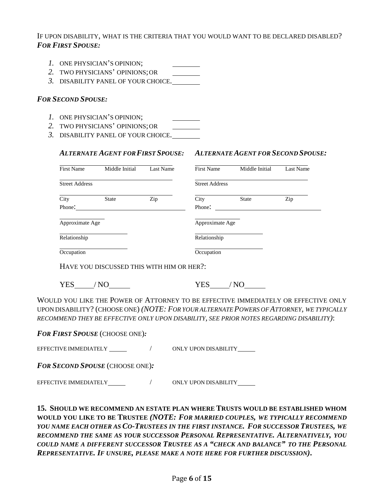IF UPON DISABILITY, WHAT IS THE CRITERIA THAT YOU WOULD WANT TO BE DECLARED DISABLED? *FOR FIRST SPOUSE:*

- *1.* ONE PHYSICIAN'S OPINION;
- *2.* TWO PHYSICIANS' OPINIONS;OR
- *3.* DISABILITY PANEL OF YOUR CHOICE.

#### *FOR SECOND SPOUSE:*

- *1.* ONE PHYSICIAN'S OPINION;
- *2.* TWO PHYSICIANS' OPINIONS;OR
- *3.* DISABILITY PANEL OF YOUR CHOICE.

#### *ALTERNATE AGENT FORFIRST SPOUSE: ALTERNATE AGENT FOR SECOND SPOUSE:*

| <b>First Name</b>     | Middle Initial | Last Name | <b>First Name</b>     | Middle Initial | Last Name |
|-----------------------|----------------|-----------|-----------------------|----------------|-----------|
| <b>Street Address</b> |                |           | <b>Street Address</b> |                |           |
| City                  | <b>State</b>   | Zip       | City                  | <b>State</b>   | Zip       |
| Phone:                |                |           | Phone:                |                |           |
| Approximate Age       |                |           | Approximate Age       |                |           |
| Relationship          |                |           | Relationship          |                |           |
| Occupation            |                |           | Occupation            |                |           |

HAVE YOU DISCUSSED THIS WITH HIM OR HER?:

YES / NO YES / NO

WOULD YOU LIKE THE POWER OF ATTORNEY TO BE EFFECTIVE IMMEDIATELY OR EFFECTIVE ONLY UPON DISABILITY? (CHOOSE ONE) *(NOTE: FOR YOUR ALTERNATE POWERS OF ATTORNEY, WE TYPICALLY RECOMMEND THEY BE EFFECTIVE ONLY UPON DISABILITY, SEE PRIOR NOTES REGARDING DISABILITY)*:

*FOR FIRST SPOUSE* (CHOOSE ONE)*:*

EFFECTIVE IMMEDIATELY / ONLY UPON DISABILITY

*FOR SECOND SPOUSE* (CHOOSE ONE)*:*

EFFECTIVE IMMEDIATELY / ONLY UPON DISABILITY

**15. SHOULD WE RECOMMEND AN ESTATE PLAN WHERE TRUSTS WOULD BE ESTABLISHED WHOM WOULD YOU LIKE TO BE TRUSTEE** *(NOTE: FOR MARRIED COUPLES, WE TYPICALLY RECOMMEND YOU NAME EACH OTHER AS CO-TRUSTEES IN THE FIRST INSTANCE. FOR SUCCESSOR TRUSTEES, WE RECOMMEND THE SAME AS YOUR SUCCESSOR PERSONAL REPRESENTATIVE. ALTERNATIVELY, YOU COULD NAME A DIFFERENT SUCCESSOR TRUSTEE AS A "CHECK AND BALANCE" TO THE PERSONAL REPRESENTATIVE. IF UNSURE, PLEASE MAKE A NOTE HERE FOR FURTHER DISCUSSION)***.**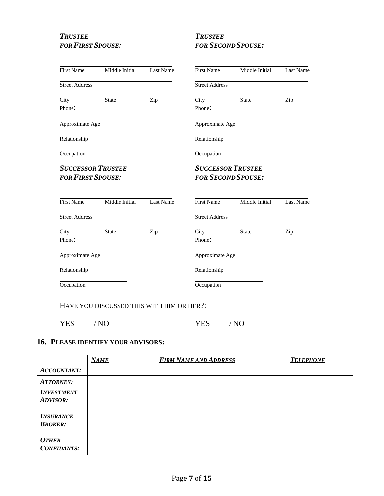# *TRUSTEE TRUSTEE*

## *FOR FIRST SPOUSE: FOR SECONDSPOUSE:*

|                          | First Name Middle Initial Last Name                                                                                                                                                                                            |     |                           | First Name Middle Initial                                       | Last Name |
|--------------------------|--------------------------------------------------------------------------------------------------------------------------------------------------------------------------------------------------------------------------------|-----|---------------------------|-----------------------------------------------------------------|-----------|
| <b>Street Address</b>    | <u> 1980 - Johann Barbara, martxa alemaniar a</u>                                                                                                                                                                              |     | <b>Street Address</b>     | the contract of the contract of the contract of the contract of |           |
|                          | City State                                                                                                                                                                                                                     | Zip |                           | City State                                                      | Zip       |
|                          | Phone: Note and the second state of the second state of the second state of the second state of the second state of the second state of the second state of the second state of the second state of the second state of the se |     |                           | Phone:                                                          |           |
| Approximate Age          |                                                                                                                                                                                                                                |     | Approximate Age           |                                                                 |           |
| Relationship             |                                                                                                                                                                                                                                |     | Relationship              |                                                                 |           |
| Occupation               | the control of the control of the control of the                                                                                                                                                                               |     | Occupation                | the control of the control of the control of the control of     |           |
| <b>SUCCESSOR TRUSTEE</b> |                                                                                                                                                                                                                                |     | <b>SUCCESSOR TRUSTEE</b>  |                                                                 |           |
| <b>FOR FIRST SPOUSE:</b> |                                                                                                                                                                                                                                |     | <b>FOR SECOND SPOUSE:</b> |                                                                 |           |
|                          |                                                                                                                                                                                                                                |     |                           |                                                                 |           |
|                          | First Name Middle Initial Last Name                                                                                                                                                                                            |     |                           | First Name Middle Initial                                       | Last Name |
| <b>Street Address</b>    | the control of the control of the control of the control of the control of the control of                                                                                                                                      |     | <b>Street Address</b>     |                                                                 |           |
| City                     | <b>State</b>                                                                                                                                                                                                                   | Zip | City                      | State                                                           | Zip       |
|                          | Phone:                                                                                                                                                                                                                         |     |                           |                                                                 |           |
| Approximate Age          |                                                                                                                                                                                                                                |     | Approximate Age           |                                                                 |           |
| Relationship             | the control of the control of the control                                                                                                                                                                                      |     | Relationship              |                                                                 |           |
| Occupation               |                                                                                                                                                                                                                                |     | Occupation                |                                                                 |           |
|                          |                                                                                                                                                                                                                                |     |                           |                                                                 |           |

HAVE YOU DISCUSSED THIS WITH HIM OR HER?:

 $YES$  /NO  $YES$  /NO  $YES$  /NO

#### **16. PLEASE IDENTIFY YOUR ADVISORS:**

|                                      | <b>NAME</b> | <b>FIRM NAME AND ADDRESS</b> | <b>TELEPHONE</b> |
|--------------------------------------|-------------|------------------------------|------------------|
| <b>ACCOUNTANT:</b>                   |             |                              |                  |
| <b>ATTORNEY:</b>                     |             |                              |                  |
| <b>INVESTMENT</b><br><b>ADVISOR:</b> |             |                              |                  |
| <b>INSURANCE</b><br><b>BROKER:</b>   |             |                              |                  |
| <b>OTHER</b><br><b>CONFIDANTS:</b>   |             |                              |                  |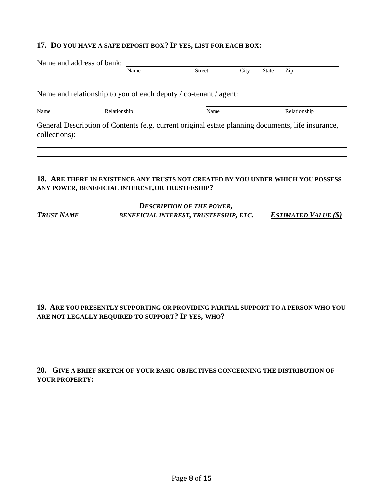#### **17. DO YOU HAVE A SAFE DEPOSIT BOX? IF YES, LIST FOR EACH BOX:**

| Name and address of bank: |                                                                                                   |                                               |      |              |                             |
|---------------------------|---------------------------------------------------------------------------------------------------|-----------------------------------------------|------|--------------|-----------------------------|
|                           | Name                                                                                              | <b>Street</b>                                 | City | <b>State</b> | Zip                         |
|                           | Name and relationship to you of each deputy / co-tenant / agent:                                  |                                               |      |              |                             |
| Name                      | Relationship                                                                                      | Name                                          |      |              | Relationship                |
| collections):             | General Description of Contents (e.g. current original estate planning documents, life insurance, |                                               |      |              |                             |
|                           | 18. ARE THERE IN EXISTENCE ANY TRUSTS NOT CREATED BY YOU UNDER WHICH YOU POSSESS                  |                                               |      |              |                             |
|                           | ANY POWER, BENEFICIAL INTEREST, OR TRUSTEESHIP?                                                   | <b>DESCRIPTION OF THE POWER,</b>              |      |              |                             |
| <b>TRUST NAME</b>         |                                                                                                   | <b>BENEFICIAL INTEREST, TRUSTEESHIP, ETC.</b> |      |              | <b>ESTIMATED VALUE (\$)</b> |
|                           |                                                                                                   |                                               |      |              |                             |
|                           |                                                                                                   |                                               |      |              |                             |
|                           |                                                                                                   |                                               |      |              |                             |
|                           |                                                                                                   |                                               |      |              |                             |
|                           |                                                                                                   |                                               |      |              |                             |

**19. ARE YOU PRESENTLY SUPPORTING OR PROVIDING PARTIAL SUPPORT TO A PERSON WHO YOU ARE NOT LEGALLY REQUIRED TO SUPPORT? IF YES, WHO?**

**20. GIVE A BRIEF SKETCH OF YOUR BASIC OBJECTIVES CONCERNING THE DISTRIBUTION OF YOUR PROPERTY:**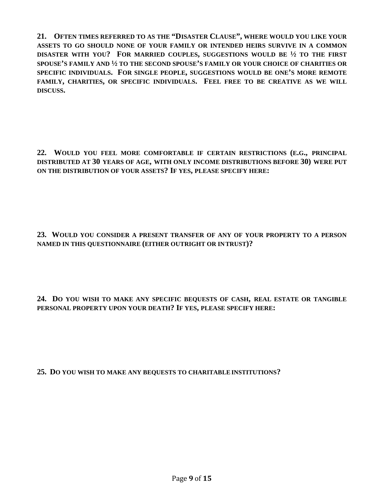**21. OFTEN TIMES REFERRED TO AS THE "DISASTER CLAUSE", WHERE WOULD YOU LIKE YOUR ASSETS TO GO SHOULD NONE OF YOUR FAMILY OR INTENDED HEIRS SURVIVE IN A COMMON DISASTER WITH YOU? FOR MARRIED COUPLES, SUGGESTIONS WOULD BE ½ TO THE FIRST SPOUSE'S FAMILY AND ½ TO THE SECOND SPOUSE'S FAMILY OR YOUR CHOICE OF CHARITIES OR SPECIFIC INDIVIDUALS. FOR SINGLE PEOPLE, SUGGESTIONS WOULD BE ONE'S MORE REMOTE FAMILY, CHARITIES, OR SPECIFIC INDIVIDUALS. FEEL FREE TO BE CREATIVE AS WE WILL DISCUSS.**

**22. WOULD YOU FEEL MORE COMFORTABLE IF CERTAIN RESTRICTIONS (E.G., PRINCIPAL DISTRIBUTED AT 30 YEARS OF AGE, WITH ONLY INCOME DISTRIBUTIONS BEFORE 30) WERE PUT ON THE DISTRIBUTION OF YOUR ASSETS? IF YES, PLEASE SPECIFY HERE:**

**23. WOULD YOU CONSIDER A PRESENT TRANSFER OF ANY OF YOUR PROPERTY TO A PERSON NAMED IN THIS QUESTIONNAIRE (EITHER OUTRIGHT OR INTRUST)?**

**24. DO YOU WISH TO MAKE ANY SPECIFIC BEQUESTS OF CASH, REAL ESTATE OR TANGIBLE PERSONAL PROPERTY UPON YOUR DEATH? IF YES, PLEASE SPECIFY HERE:**

**25. DO YOU WISH TO MAKE ANY BEQUESTS TO CHARITABLEINSTITUTIONS?**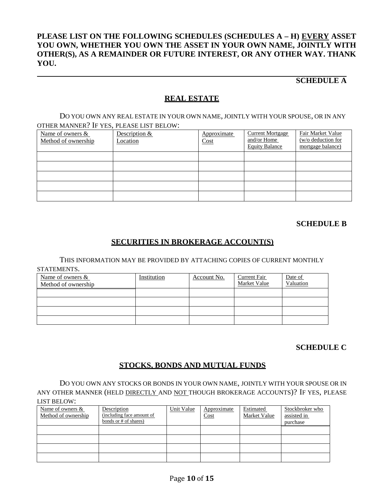#### **PLEASE LIST ON THE FOLLOWING SCHEDULES (SCHEDULES A – H) EVERY ASSET YOU OWN, WHETHER YOU OWN THE ASSET IN YOUR OWN NAME, JOINTLY WITH OTHER(S), AS A REMAINDER OR FUTURE INTEREST, OR ANY OTHER WAY. THANK YOU.**

#### **SCHEDULE A**

#### **REAL ESTATE**

DO YOU OWN ANY REAL ESTATE IN YOUR OWN NAME, JOINTLY WITH YOUR SPOUSE, OR IN ANY OTHER MANNER? IF YES, PLEASE LIST BELOW:

| Name of owners &<br>Method of ownership | Description &<br>Location | Approximate<br>Cost | <b>Current Mortgage</b><br>and/or Home<br><b>Equity Balance</b> | Fair Market Value<br>$(w/o)$ deduction for<br>mortgage balance) |
|-----------------------------------------|---------------------------|---------------------|-----------------------------------------------------------------|-----------------------------------------------------------------|
|                                         |                           |                     |                                                                 |                                                                 |
|                                         |                           |                     |                                                                 |                                                                 |
|                                         |                           |                     |                                                                 |                                                                 |
|                                         |                           |                     |                                                                 |                                                                 |
|                                         |                           |                     |                                                                 |                                                                 |

#### **SCHEDULE B**

#### **SECURITIES IN BROKERAGE ACCOUNT(S)**

THIS INFORMATION MAY BE PROVIDED BY ATTACHING COPIES OF CURRENT MONTHLY

STATEMENTS.

| Name of owners &<br>Method of ownership | Institution | Account No. | Current Fair<br>Market Value | Date of<br>Valuation |
|-----------------------------------------|-------------|-------------|------------------------------|----------------------|
|                                         |             |             |                              |                      |
|                                         |             |             |                              |                      |
|                                         |             |             |                              |                      |
|                                         |             |             |                              |                      |

#### **SCHEDULE C**

#### **STOCKS, BONDS AND MUTUAL FUNDS**

DO YOU OWN ANY STOCKS OR BONDS IN YOUR OWN NAME, JOINTLY WITH YOUR SPOUSE OR IN ANY OTHER MANNER (HELD DIRECTLY AND NOT THOUGH BROKERAGE ACCOUNTS)? IF YES, PLEASE LIST BELOW:

| Name of owners &<br>Method of ownership | Description<br>(including face amount of<br>bonds or # of shares) | Unit Value | Approximate<br>Cost | Estimated<br>Market Value | Stockbroker who<br>assisted in<br>purchase |
|-----------------------------------------|-------------------------------------------------------------------|------------|---------------------|---------------------------|--------------------------------------------|
|                                         |                                                                   |            |                     |                           |                                            |
|                                         |                                                                   |            |                     |                           |                                            |
|                                         |                                                                   |            |                     |                           |                                            |
|                                         |                                                                   |            |                     |                           |                                            |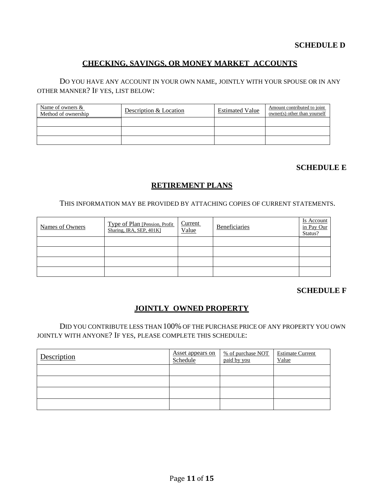#### **SCHEDULE D**

#### **CHECKING, SAVINGS, OR MONEY MARKET ACCOUNTS**

DO YOU HAVE ANY ACCOUNT IN YOUR OWN NAME, JOINTLY WITH YOUR SPOUSE OR IN ANY OTHER MANNER? IF YES, LIST BELOW:

| Name of owners &<br>Method of ownership | Description & Location | <b>Estimated Value</b> | Amount contributed to joint<br>owner(s) other than yourself |
|-----------------------------------------|------------------------|------------------------|-------------------------------------------------------------|
|                                         |                        |                        |                                                             |
|                                         |                        |                        |                                                             |
|                                         |                        |                        |                                                             |

#### **SCHEDULE E**

#### **RETIREMENT PLANS**

THIS INFORMATION MAY BE PROVIDED BY ATTACHING COPIES OF CURRENT STATEMENTS.

| Names of Owners | Type of Plan [Pension, Profit]<br>Sharing, IRA, SEP, 401K] | Current<br>Value | Beneficiaries | Is Account<br>in Pay Our<br>Status? |
|-----------------|------------------------------------------------------------|------------------|---------------|-------------------------------------|
|                 |                                                            |                  |               |                                     |
|                 |                                                            |                  |               |                                     |
|                 |                                                            |                  |               |                                     |
|                 |                                                            |                  |               |                                     |

#### **SCHEDULE F**

#### **JOINTLY OWNED PROPERTY**

DID YOU CONTRIBUTE LESS THAN 100% OF THE PURCHASE PRICE OF ANY PROPERTY YOU OWN JOINTLY WITH ANYONE? IF YES, PLEASE COMPLETE THIS SCHEDULE:

| Description | <b>Asset appears on</b><br>Schedule | % of purchase NOT<br>paid by you | <b>Estimate Current</b><br>Value |
|-------------|-------------------------------------|----------------------------------|----------------------------------|
|             |                                     |                                  |                                  |
|             |                                     |                                  |                                  |
|             |                                     |                                  |                                  |
|             |                                     |                                  |                                  |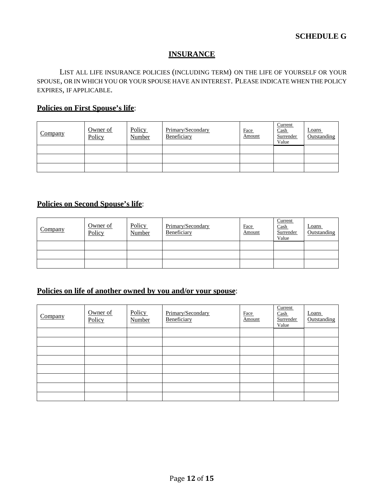#### **INSURANCE**

LIST ALL LIFE INSURANCE POLICIES (INCLUDING TERM) ON THE LIFE OF YOURSELF OR YOUR SPOUSE, OR IN WHICH YOU OR YOUR SPOUSE HAVE AN INTEREST. PLEASE INDICATE WHEN THE POLICY EXPIRES, IFAPPLICABLE.

#### **Policies on First Spouse's life**:

| Company | Owner of<br>Policy | Policy<br><b>Number</b> | Primary/Secondary<br>Beneficiary | Face<br>Amount | Current<br>Cash<br>Surrender<br>Value | <b>Loans</b><br>Outstanding |
|---------|--------------------|-------------------------|----------------------------------|----------------|---------------------------------------|-----------------------------|
|         |                    |                         |                                  |                |                                       |                             |
|         |                    |                         |                                  |                |                                       |                             |
|         |                    |                         |                                  |                |                                       |                             |

#### **Policies on Second Spouse's life**:

| Company | Owner of<br>Policy | Policy<br>Number | Primary/Secondary<br>Beneficiary | <b>Face</b><br>Amount | Current<br><b>Cash</b><br>Surrender<br>Value | Loans<br>Outstanding |
|---------|--------------------|------------------|----------------------------------|-----------------------|----------------------------------------------|----------------------|
|         |                    |                  |                                  |                       |                                              |                      |
|         |                    |                  |                                  |                       |                                              |                      |
|         |                    |                  |                                  |                       |                                              |                      |

#### **Policies on life of another owned by you and/or your spouse**:

| Company | Owner of<br>Policy | <b>Policy</b><br>Number | Primary/Secondary<br>Beneficiary | Face<br>Amount | Current<br>Cash<br>Surrender<br>Value | Loans<br>Outstanding |
|---------|--------------------|-------------------------|----------------------------------|----------------|---------------------------------------|----------------------|
|         |                    |                         |                                  |                |                                       |                      |
|         |                    |                         |                                  |                |                                       |                      |
|         |                    |                         |                                  |                |                                       |                      |
|         |                    |                         |                                  |                |                                       |                      |
|         |                    |                         |                                  |                |                                       |                      |
|         |                    |                         |                                  |                |                                       |                      |
|         |                    |                         |                                  |                |                                       |                      |
|         |                    |                         |                                  |                |                                       |                      |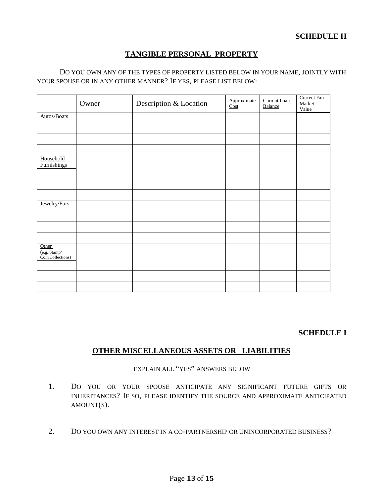#### **SCHEDULE H**

#### **TANGIBLE PERSONAL PROPERTY**

#### DO YOU OWN ANY OF THE TYPES OF PROPERTY LISTED BELOW IN YOUR NAME, JOINTLY WITH YOUR SPOUSE OR IN ANY OTHER MANNER? IF YES, PLEASE LIST BELOW:

|                                            | Owner | Description & Location | Approximate<br>Cost | Current Loan<br>Balance | Current Fair<br>Market<br>Value |
|--------------------------------------------|-------|------------------------|---------------------|-------------------------|---------------------------------|
| Autos/Boats                                |       |                        |                     |                         |                                 |
|                                            |       |                        |                     |                         |                                 |
|                                            |       |                        |                     |                         |                                 |
|                                            |       |                        |                     |                         |                                 |
| Household<br>Furnishings                   |       |                        |                     |                         |                                 |
|                                            |       |                        |                     |                         |                                 |
|                                            |       |                        |                     |                         |                                 |
|                                            |       |                        |                     |                         |                                 |
| Jewelry/Furs                               |       |                        |                     |                         |                                 |
|                                            |       |                        |                     |                         |                                 |
|                                            |       |                        |                     |                         |                                 |
|                                            |       |                        |                     |                         |                                 |
| Other<br>(e.g.:Stamp/<br>Coin Collections) |       |                        |                     |                         |                                 |
|                                            |       |                        |                     |                         |                                 |
|                                            |       |                        |                     |                         |                                 |
|                                            |       |                        |                     |                         |                                 |

#### **SCHEDULE I**

#### **OTHER MISCELLANEOUS ASSETS OR LIABILITIES**

#### EXPLAIN ALL "YES" ANSWERS BELOW

- 1. DO YOU OR YOUR SPOUSE ANTICIPATE ANY SIGNIFICANT FUTURE GIFTS OR INHERITANCES? IF SO, PLEASE IDENTIFY THE SOURCE AND APPROXIMATE ANTICIPATED AMOUNT(S).
- 2. DO YOU OWN ANY INTEREST IN A CO-PARTNERSHIP OR UNINCORPORATED BUSINESS?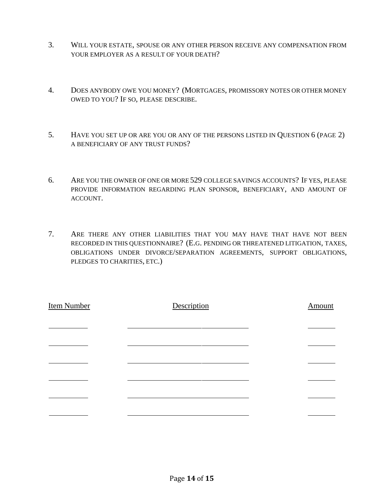- 3. WILL YOUR ESTATE, SPOUSE OR ANY OTHER PERSON RECEIVE ANY COMPENSATION FROM YOUR EMPLOYER AS A RESULT OF YOUR DEATH?
- 4. DOES ANYBODY OWE YOU MONEY? (MORTGAGES, PROMISSORY NOTES OR OTHER MONEY OWED TO YOU? IF SO, PLEASE DESCRIBE.
- 5. HAVE YOU SET UP OR ARE YOU OR ANY OF THE PERSONS LISTED IN QUESTION 6 (PAGE 2) A BENEFICIARY OF ANY TRUST FUNDS?
- 6. ARE YOU THE OWNER OF ONE OR MORE 529 COLLEGE SAVINGS ACCOUNTS? IF YES, PLEASE PROVIDE INFORMATION REGARDING PLAN SPONSOR, BENEFICIARY, AND AMOUNT OF ACCOUNT.
- 7. ARE THERE ANY OTHER LIABILITIES THAT YOU MAY HAVE THAT HAVE NOT BEEN RECORDED IN THIS QUESTIONNAIRE? (E.G. PENDING OR THREATENED LITIGATION, TAXES, OBLIGATIONS UNDER DIVORCE/SEPARATION AGREEMENTS, SUPPORT OBLIGATIONS, PLEDGES TO CHARITIES, ETC.)

| <b>Item Number</b> | Description | Amount |
|--------------------|-------------|--------|
|                    |             |        |
|                    |             |        |
|                    |             |        |
|                    |             |        |
|                    |             |        |
|                    |             |        |